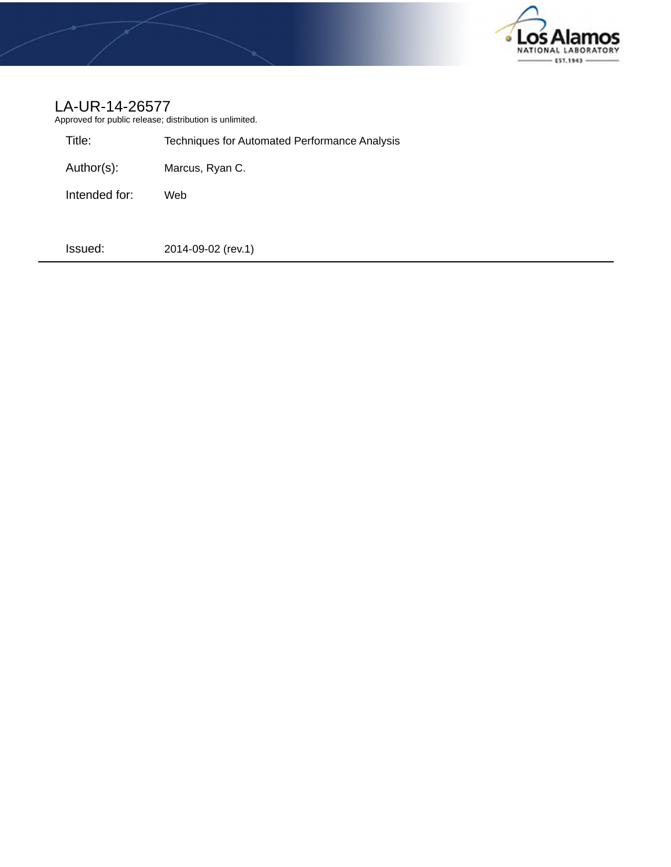

# LA-UR-14-26577

Approved for public release; distribution is unlimited.

| Title:        | Techniques for Automated Performance Analysis |
|---------------|-----------------------------------------------|
| Author(s):    | Marcus, Ryan C.                               |
| Intended for: | Web                                           |
| Issued:       | 2014-09-02 (rev.1)                            |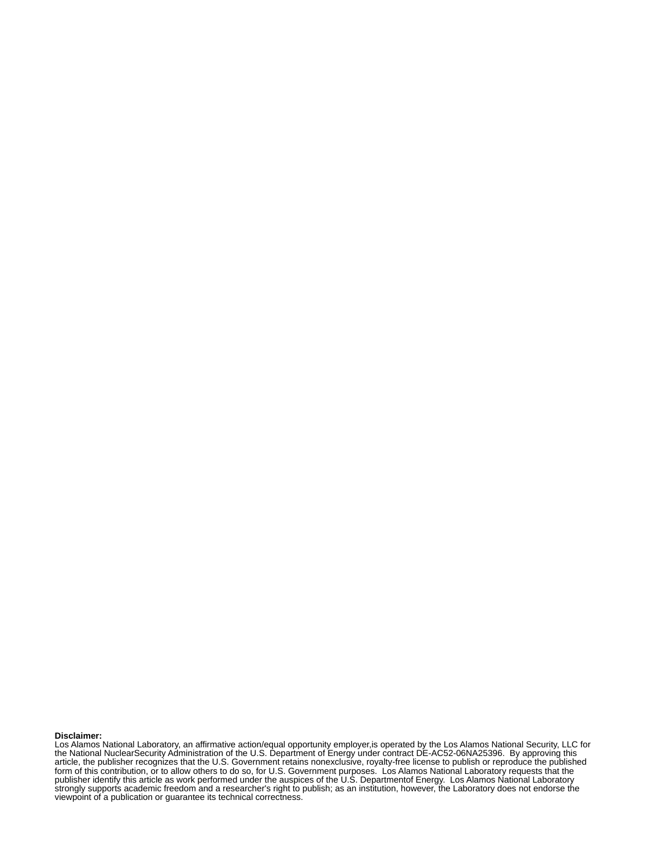#### **Disclaimer:**

Los Alamos National Laboratory, an affirmative action/equal opportunity employer,is operated by the Los Alamos National Security, LLC for the National NuclearSecurity Administration of the U.S. Department of Energy under contract DE-AC52-06NA25396. By approving this article, the publisher recognizes that the U.S. Government retains nonexclusive, royalty-free license to publish or reproduce the published form of this contribution, or to allow others to do so, for U.S. Government purposes. Los Alamos National Laboratory requests that the publisher identify this article as work performed under the auspices of the U.S. Departmentof Energy. Los Alamos National Laboratory strongly supports academic freedom and a researcher's right to publish; as an institution, however, the Laboratory does not endorse the viewpoint of a publication or guarantee its technical correctness.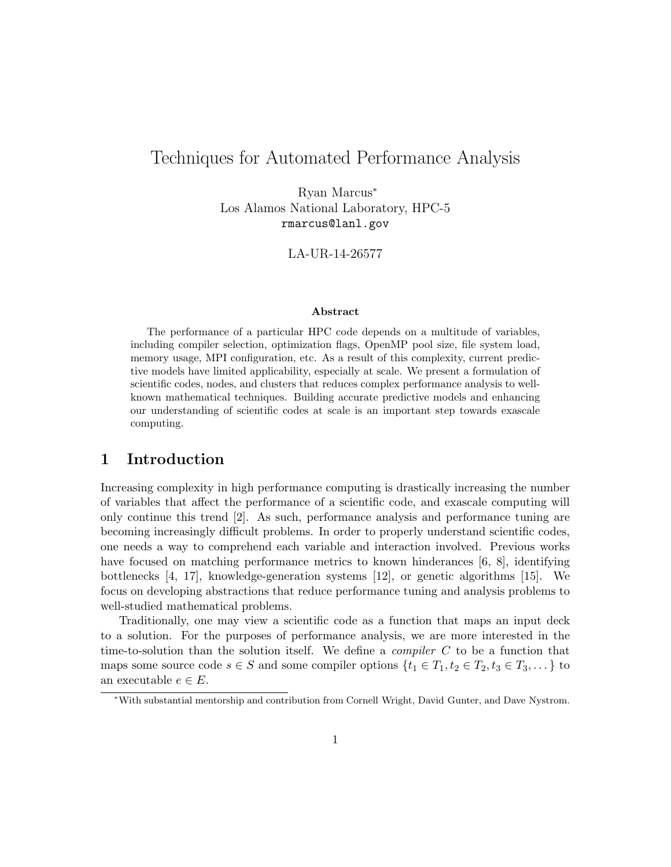# Techniques for Automated Performance Analysis

Ryan Marcus<sup>∗</sup> Los Alamos National Laboratory, HPC-5 rmarcus@lanl.gov

LA-UR-14-26577

#### Abstract

The performance of a particular HPC code depends on a multitude of variables, including compiler selection, optimization flags, OpenMP pool size, file system load, memory usage, MPI configuration, etc. As a result of this complexity, current predictive models have limited applicability, especially at scale. We present a formulation of scientific codes, nodes, and clusters that reduces complex performance analysis to wellknown mathematical techniques. Building accurate predictive models and enhancing our understanding of scientific codes at scale is an important step towards exascale computing.

# 1 Introduction

Increasing complexity in high performance computing is drastically increasing the number of variables that affect the performance of a scientific code, and exascale computing will only continue this trend [2]. As such, performance analysis and performance tuning are becoming increasingly difficult problems. In order to properly understand scientific codes, one needs a way to comprehend each variable and interaction involved. Previous works have focused on matching performance metrics to known hinderances [6, 8], identifying bottlenecks [4, 17], knowledge-generation systems [12], or genetic algorithms [15]. We focus on developing abstractions that reduce performance tuning and analysis problems to well-studied mathematical problems.

Traditionally, one may view a scientific code as a function that maps an input deck to a solution. For the purposes of performance analysis, we are more interested in the time-to-solution than the solution itself. We define a *compiler*  $C$  to be a function that maps some source code  $s \in S$  and some compiler options  $\{t_1 \in T_1, t_2 \in T_2, t_3 \in T_3, \dots\}$  to an executable  $e \in E$ .

<sup>∗</sup>With substantial mentorship and contribution from Cornell Wright, David Gunter, and Dave Nystrom.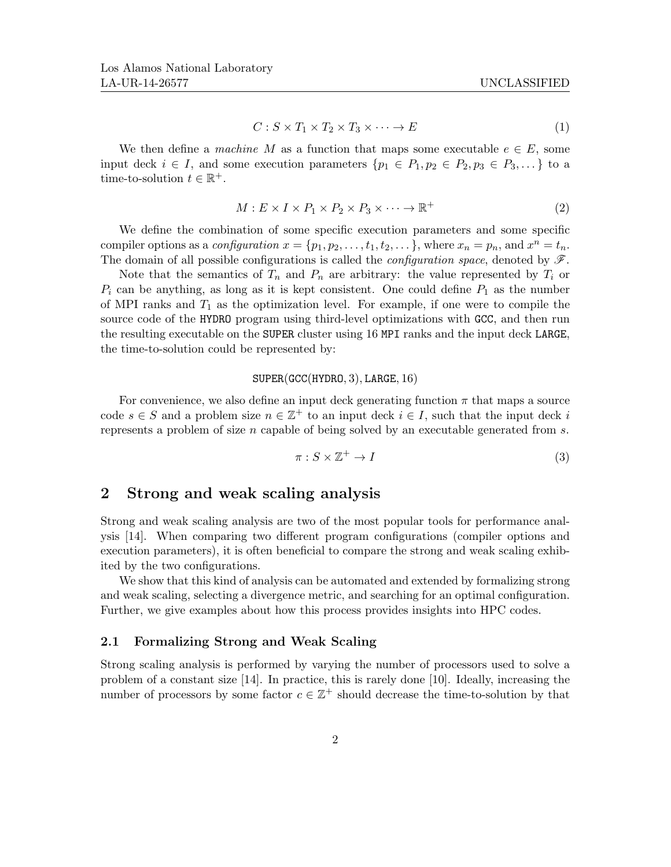$$
C: S \times T_1 \times T_2 \times T_3 \times \dots \to E \tag{1}
$$

We then define a machine M as a function that maps some executable  $e \in E$ , some input deck  $i \in I$ , and some execution parameters  $\{p_1 \in P_1, p_2 \in P_2, p_3 \in P_3, ...\}$  to a time-to-solution  $t \in \mathbb{R}^+$ .

$$
M: E \times I \times P_1 \times P_2 \times P_3 \times \cdots \to \mathbb{R}^+\tag{2}
$$

We define the combination of some specific execution parameters and some specific compiler options as a *configuration*  $x = \{p_1, p_2, \ldots, t_1, t_2, \ldots\}$ , where  $x_n = p_n$ , and  $x^n = t_n$ . The domain of all possible configurations is called the *configuration space*, denoted by  $\mathscr{F}$ .

Note that the semantics of  $T_n$  and  $P_n$  are arbitrary: the value represented by  $T_i$  or  $P_i$  can be anything, as long as it is kept consistent. One could define  $P_1$  as the number of MPI ranks and  $T_1$  as the optimization level. For example, if one were to compile the source code of the HYDRO program using third-level optimizations with GCC, and then run the resulting executable on the SUPER cluster using 16 MPI ranks and the input deck LARGE, the time-to-solution could be represented by:

### SUPER(GCC(HYDRO, 3), LARGE, 16)

For convenience, we also define an input deck generating function  $\pi$  that maps a source code  $s \in S$  and a problem size  $n \in \mathbb{Z}^+$  to an input deck  $i \in I$ , such that the input deck i represents a problem of size  $n$  capable of being solved by an executable generated from  $s$ .

$$
\pi: S \times \mathbb{Z}^+ \to I \tag{3}
$$

## 2 Strong and weak scaling analysis

Strong and weak scaling analysis are two of the most popular tools for performance analysis [14]. When comparing two different program configurations (compiler options and execution parameters), it is often beneficial to compare the strong and weak scaling exhibited by the two configurations.

We show that this kind of analysis can be automated and extended by formalizing strong and weak scaling, selecting a divergence metric, and searching for an optimal configuration. Further, we give examples about how this process provides insights into HPC codes.

## 2.1 Formalizing Strong and Weak Scaling

Strong scaling analysis is performed by varying the number of processors used to solve a problem of a constant size [14]. In practice, this is rarely done [10]. Ideally, increasing the number of processors by some factor  $c \in \mathbb{Z}^+$  should decrease the time-to-solution by that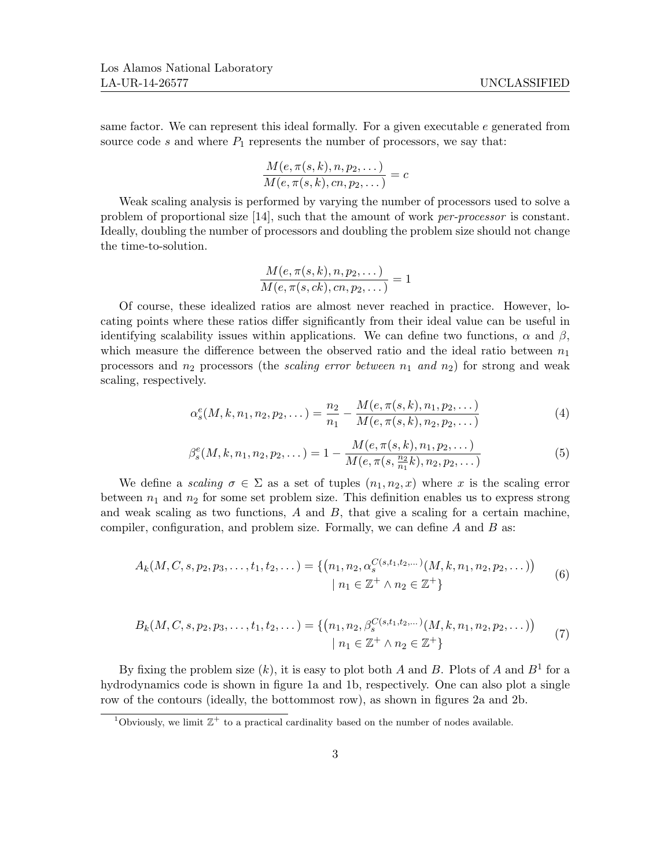same factor. We can represent this ideal formally. For a given executable  $e$  generated from source code s and where  $P_1$  represents the number of processors, we say that:

$$
\frac{M(e,\pi(s,k),n,p_2,\dots)}{M(e,\pi(s,k),cn,p_2,\dots)}=c
$$

Weak scaling analysis is performed by varying the number of processors used to solve a problem of proportional size [14], such that the amount of work per-processor is constant. Ideally, doubling the number of processors and doubling the problem size should not change the time-to-solution.

$$
\frac{M(e,\pi(s,k),n,p_2,\dots)}{M(e,\pi(s,ck),cn,p_2,\dots)}=1
$$

Of course, these idealized ratios are almost never reached in practice. However, locating points where these ratios differ significantly from their ideal value can be useful in identifying scalability issues within applications. We can define two functions,  $\alpha$  and  $\beta$ , which measure the difference between the observed ratio and the ideal ratio between  $n_1$ processors and  $n_2$  processors (the scaling error between  $n_1$  and  $n_2$ ) for strong and weak scaling, respectively.

$$
\alpha_s^e(M, k, n_1, n_2, p_2, \dots) = \frac{n_2}{n_1} - \frac{M(e, \pi(s, k), n_1, p_2, \dots)}{M(e, \pi(s, k), n_2, p_2, \dots)}
$$
(4)

$$
\beta_s^e(M, k, n_1, n_2, p_2, \dots) = 1 - \frac{M(e, \pi(s, k), n_1, p_2, \dots)}{M(e, \pi(s, \frac{n_2}{n_1}k), n_2, p_2, \dots)}
$$
(5)

We define a scaling  $\sigma \in \Sigma$  as a set of tuples  $(n_1, n_2, x)$  where x is the scaling error between  $n_1$  and  $n_2$  for some set problem size. This definition enables us to express strong and weak scaling as two functions,  $A$  and  $B$ , that give a scaling for a certain machine, compiler, configuration, and problem size. Formally, we can define  $A$  and  $B$  as:

$$
A_k(M, C, s, p_2, p_3, \dots, t_1, t_2, \dots) = \{ (n_1, n_2, \alpha_s^{C(s, t_1, t_2, \dots)}(M, k, n_1, n_2, p_2, \dots)) \mid n_1 \in \mathbb{Z}^+ \land n_2 \in \mathbb{Z}^+ \}
$$
(6)

$$
B_k(M, C, s, p_2, p_3, \dots, t_1, t_2, \dots) = \{ (n_1, n_2, \beta_s^{C(s, t_1, t_2, \dots)}(M, k, n_1, n_2, p_2, \dots)) \mid n_1 \in \mathbb{Z}^+ \land n_2 \in \mathbb{Z}^+ \}
$$
(7)

By fixing the problem size  $(k)$ , it is easy to plot both A and B. Plots of A and  $B<sup>1</sup>$  for a hydrodynamics code is shown in figure 1a and 1b, respectively. One can also plot a single row of the contours (ideally, the bottommost row), as shown in figures 2a and 2b.

<sup>&</sup>lt;sup>1</sup>Obviously, we limit  $\mathbb{Z}^+$  to a practical cardinality based on the number of nodes available.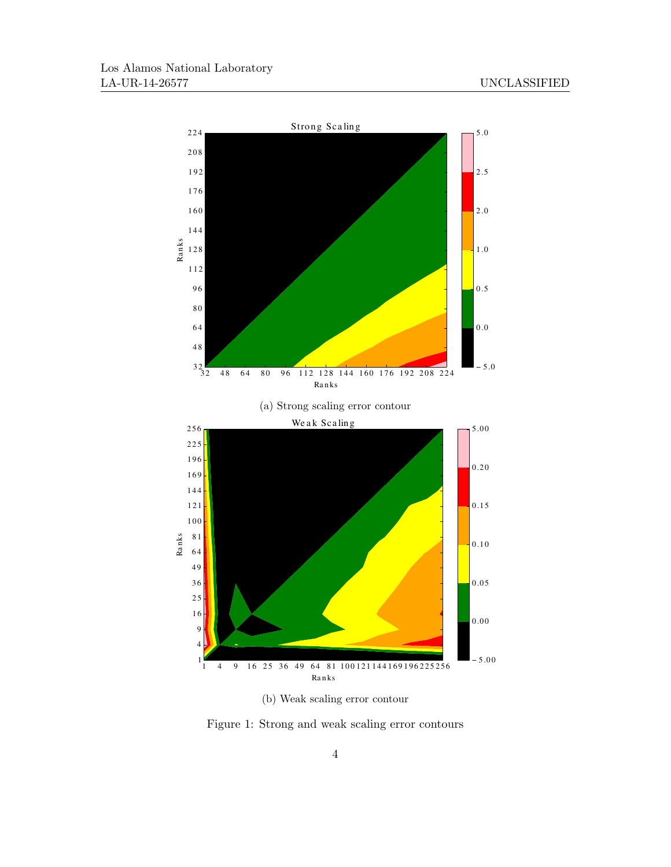

(b) Weak scaling error contour

Figure 1: Strong and weak scaling error contours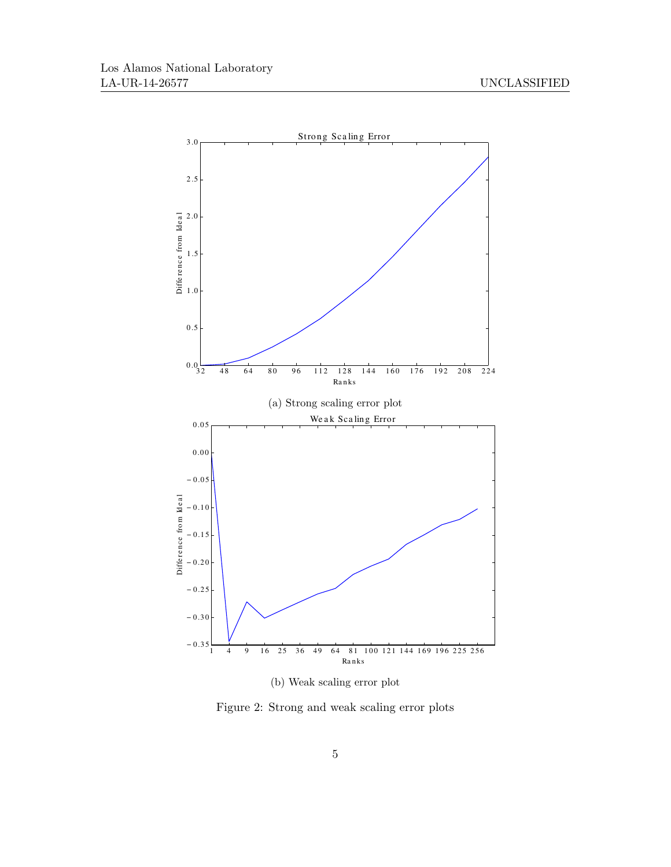

(b) Weak scaling error plot

Figure 2: Strong and weak scaling error plots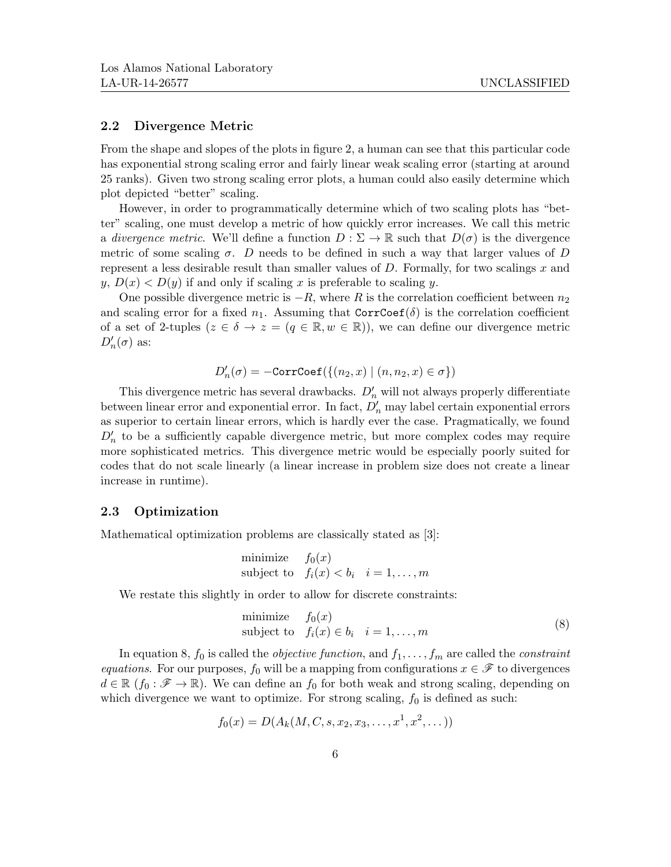### 2.2 Divergence Metric

From the shape and slopes of the plots in figure 2, a human can see that this particular code has exponential strong scaling error and fairly linear weak scaling error (starting at around 25 ranks). Given two strong scaling error plots, a human could also easily determine which plot depicted "better" scaling.

However, in order to programmatically determine which of two scaling plots has "better" scaling, one must develop a metric of how quickly error increases. We call this metric a divergence metric. We'll define a function  $D : \Sigma \to \mathbb{R}$  such that  $D(\sigma)$  is the divergence metric of some scaling  $\sigma$ . D needs to be defined in such a way that larger values of D represent a less desirable result than smaller values of  $D$ . Formally, for two scalings  $x$  and  $y, D(x) < D(y)$  if and only if scaling x is preferable to scaling y.

One possible divergence metric is  $-R$ , where R is the correlation coefficient between  $n_2$ and scaling error for a fixed  $n_1$ . Assuming that CorrCoef( $\delta$ ) is the correlation coefficient of a set of 2-tuples  $(z \in \delta \to z = (q \in \mathbb{R}, w \in \mathbb{R})$ , we can define our divergence metric  $D'_n(\sigma)$  as:

$$
D'_n(\sigma) = -\texttt{CorrCoeff}(\{(n_2, x) \mid (n, n_2, x) \in \sigma\})
$$

This divergence metric has several drawbacks.  $D'_n$  will not always properly differentiate between linear error and exponential error. In fact,  $D'_n$  may label certain exponential errors as superior to certain linear errors, which is hardly ever the case. Pragmatically, we found  $D'_n$  to be a sufficiently capable divergence metric, but more complex codes may require more sophisticated metrics. This divergence metric would be especially poorly suited for codes that do not scale linearly (a linear increase in problem size does not create a linear increase in runtime).

## 2.3 Optimization

Mathematical optimization problems are classically stated as [3]:

minimize 
$$
f_0(x)
$$
  
subject to  $f_i(x) < b_i$   $i = 1,...,m$ 

We restate this slightly in order to allow for discrete constraints:

minimize 
$$
f_0(x)
$$
  
subject to  $f_i(x) \in b_i$   $i = 1,...,m$  
$$
(8)
$$

In equation 8,  $f_0$  is called the *objective function*, and  $f_1, \ldots, f_m$  are called the *constraint* equations. For our purposes,  $f_0$  will be a mapping from configurations  $x \in \mathscr{F}$  to divergences  $d \in \mathbb{R}$  ( $f_0 : \mathscr{F} \to \mathbb{R}$ ). We can define an  $f_0$  for both weak and strong scaling, depending on which divergence we want to optimize. For strong scaling,  $f_0$  is defined as such:

$$
f_0(x) = D(A_k(M, C, s, x_2, x_3, \dots, x^1, x^2, \dots))
$$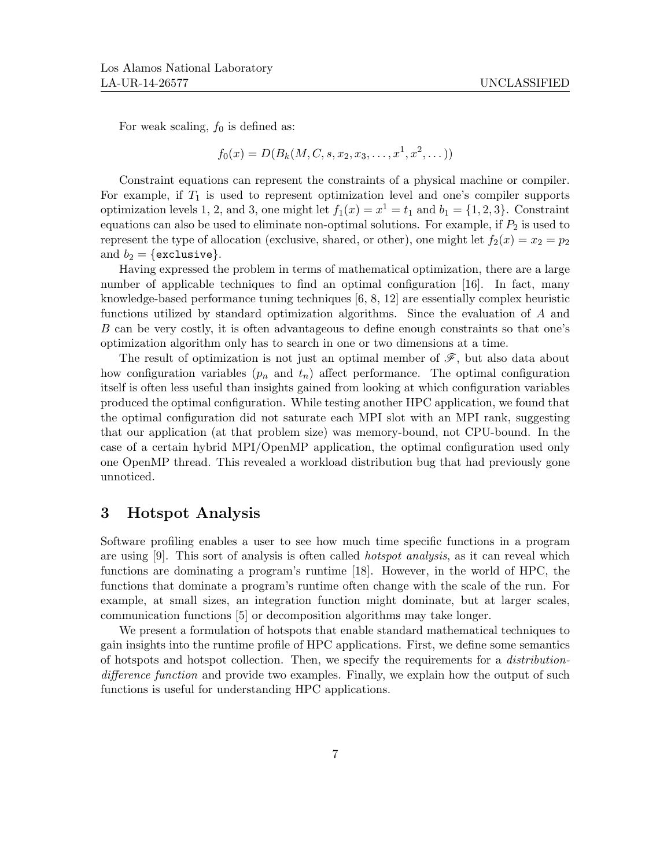For weak scaling,  $f_0$  is defined as:

$$
f_0(x) = D(B_k(M, C, s, x_2, x_3, \dots, x^1, x^2, \dots))
$$

Constraint equations can represent the constraints of a physical machine or compiler. For example, if  $T_1$  is used to represent optimization level and one's compiler supports optimization levels 1, 2, and 3, one might let  $f_1(x) = x^1 = t_1$  and  $b_1 = \{1, 2, 3\}$ . Constraint equations can also be used to eliminate non-optimal solutions. For example, if  $P_2$  is used to represent the type of allocation (exclusive, shared, or other), one might let  $f_2(x) = x_2 = p_2$ and  $b_2 = \{$ exclusive $\}$ .

Having expressed the problem in terms of mathematical optimization, there are a large number of applicable techniques to find an optimal configuration [16]. In fact, many knowledge-based performance tuning techniques [6, 8, 12] are essentially complex heuristic functions utilized by standard optimization algorithms. Since the evaluation of A and B can be very costly, it is often advantageous to define enough constraints so that one's optimization algorithm only has to search in one or two dimensions at a time.

The result of optimization is not just an optimal member of  $\mathscr{F}$ , but also data about how configuration variables  $(p_n \text{ and } t_n)$  affect performance. The optimal configuration itself is often less useful than insights gained from looking at which configuration variables produced the optimal configuration. While testing another HPC application, we found that the optimal configuration did not saturate each MPI slot with an MPI rank, suggesting that our application (at that problem size) was memory-bound, not CPU-bound. In the case of a certain hybrid MPI/OpenMP application, the optimal configuration used only one OpenMP thread. This revealed a workload distribution bug that had previously gone unnoticed.

# 3 Hotspot Analysis

Software profiling enables a user to see how much time specific functions in a program are using [9]. This sort of analysis is often called hotspot analysis, as it can reveal which functions are dominating a program's runtime [18]. However, in the world of HPC, the functions that dominate a program's runtime often change with the scale of the run. For example, at small sizes, an integration function might dominate, but at larger scales, communication functions [5] or decomposition algorithms may take longer.

We present a formulation of hotspots that enable standard mathematical techniques to gain insights into the runtime profile of HPC applications. First, we define some semantics of hotspots and hotspot collection. Then, we specify the requirements for a distributiondifference function and provide two examples. Finally, we explain how the output of such functions is useful for understanding HPC applications.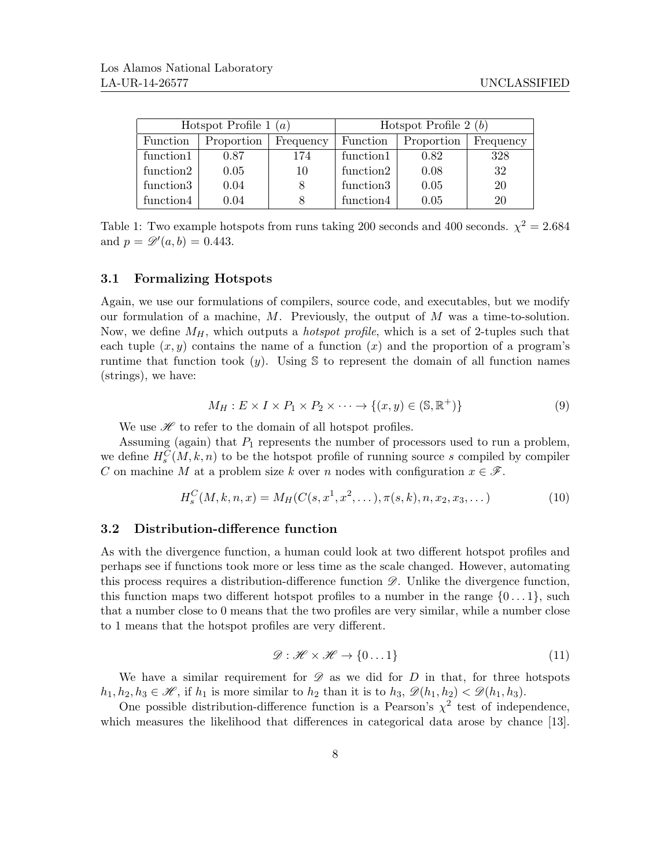| Hotspot Profile 1 $(a)$ |            |           | Hotspot Profile $2(b)$ |            |           |
|-------------------------|------------|-----------|------------------------|------------|-----------|
| Function                | Proportion | Frequency | Function               | Proportion | Frequency |
| function1               | 0.87       | 174       | function1              | 0.82       | 328       |
| function2               | 0.05       | 10        | function2              | 0.08       | 32        |
| function3               | 0.04       |           | function3              | 0.05       | 20        |
| function4               | 0.04       |           | function4              | 0.05       | 20        |

Table 1: Two example hotspots from runs taking 200 seconds and 400 seconds.  $\chi^2 = 2.684$ and  $p = \mathscr{D}'(a, b) = 0.443$ .

#### 3.1 Formalizing Hotspots

Again, we use our formulations of compilers, source code, and executables, but we modify our formulation of a machine,  $M$ . Previously, the output of  $M$  was a time-to-solution. Now, we define  $M_H$ , which outputs a *hotspot profile*, which is a set of 2-tuples such that each tuple  $(x, y)$  contains the name of a function  $(x)$  and the proportion of a program's runtime that function took  $(y)$ . Using S to represent the domain of all function names (strings), we have:

$$
M_H: E \times I \times P_1 \times P_2 \times \dots \to \{(x, y) \in (\mathbb{S}, \mathbb{R}^+)\}\tag{9}
$$

We use  $\mathcal H$  to refer to the domain of all hotspot profiles.

Assuming (again) that  $P_1$  represents the number of processors used to run a problem, we define  $H_s^C(M, k, n)$  to be the hotspot profile of running source s compiled by compiler C on machine M at a problem size k over n nodes with configuration  $x \in \mathscr{F}$ .

$$
H_s^C(M, k, n, x) = M_H(C(s, x^1, x^2, \dots), \pi(s, k), n, x_2, x_3, \dots)
$$
\n(10)

#### 3.2 Distribution-difference function

As with the divergence function, a human could look at two different hotspot profiles and perhaps see if functions took more or less time as the scale changed. However, automating this process requires a distribution-difference function  $\mathscr{D}$ . Unlike the divergence function, this function maps two different hotspot profiles to a number in the range  $\{0 \dots 1\}$ , such that a number close to 0 means that the two profiles are very similar, while a number close to 1 means that the hotspot profiles are very different.

$$
\mathcal{D}: \mathcal{H} \times \mathcal{H} \to \{0...1\} \tag{11}
$$

We have a similar requirement for  $\mathscr D$  as we did for D in that, for three hotspots  $h_1, h_2, h_3 \in \mathcal{H}$ , if  $h_1$  is more similar to  $h_2$  than it is to  $h_3, \mathcal{D}(h_1, h_2) < \mathcal{D}(h_1, h_3)$ .

One possible distribution-difference function is a Pearson's  $\chi^2$  test of independence, which measures the likelihood that differences in categorical data arose by chance [13].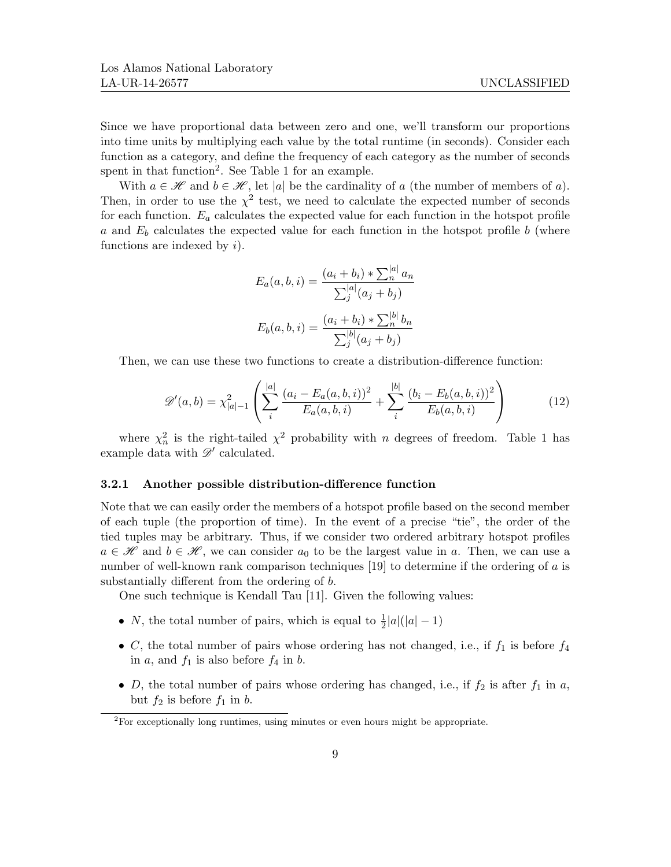Since we have proportional data between zero and one, we'll transform our proportions into time units by multiplying each value by the total runtime (in seconds). Consider each function as a category, and define the frequency of each category as the number of seconds spent in that function<sup>2</sup>. See Table 1 for an example.

With  $a \in \mathcal{H}$  and  $b \in \mathcal{H}$ , let |a| be the cardinality of a (the number of members of a). Then, in order to use the  $\chi^2$  test, we need to calculate the expected number of seconds for each function.  $E_a$  calculates the expected value for each function in the hotspot profile a and  $E<sub>b</sub>$  calculates the expected value for each function in the hotspot profile b (where functions are indexed by  $i$ ).

$$
E_a(a, b, i) = \frac{(a_i + b_i) * \sum_{n}^{|a|} a_n}{\sum_{j}^{|a|} (a_j + b_j)}
$$

$$
E_b(a, b, i) = \frac{(a_i + b_i) * \sum_{n}^{|b|} b_n}{\sum_{j}^{|b|} (a_j + b_j)}
$$

Then, we can use these two functions to create a distribution-difference function:

$$
\mathscr{D}'(a,b) = \chi_{|a|-1}^2 \left( \sum_i^{|a|} \frac{(a_i - E_a(a,b,i))^2}{E_a(a,b,i)} + \sum_i^{|b|} \frac{(b_i - E_b(a,b,i))^2}{E_b(a,b,i)} \right)
$$
(12)

where  $\chi^2_n$  is the right-tailed  $\chi^2$  probability with n degrees of freedom. Table 1 has example data with  $\mathscr{D}'$  calculated.

#### 3.2.1 Another possible distribution-difference function

Note that we can easily order the members of a hotspot profile based on the second member of each tuple (the proportion of time). In the event of a precise "tie", the order of the tied tuples may be arbitrary. Thus, if we consider two ordered arbitrary hotspot profiles  $a \in \mathcal{H}$  and  $b \in \mathcal{H}$ , we can consider  $a_0$  to be the largest value in a. Then, we can use a number of well-known rank comparison techniques [19] to determine if the ordering of a is substantially different from the ordering of b.

One such technique is Kendall Tau [11]. Given the following values:

- *N*, the total number of pairs, which is equal to  $\frac{1}{2}|a|(|a|-1)$
- C, the total number of pairs whose ordering has not changed, i.e., if  $f_1$  is before  $f_4$ in a, and  $f_1$  is also before  $f_4$  in b.
- D, the total number of pairs whose ordering has changed, i.e., if  $f_2$  is after  $f_1$  in a, but  $f_2$  is before  $f_1$  in b.

 ${}^{2}$ For exceptionally long runtimes, using minutes or even hours might be appropriate.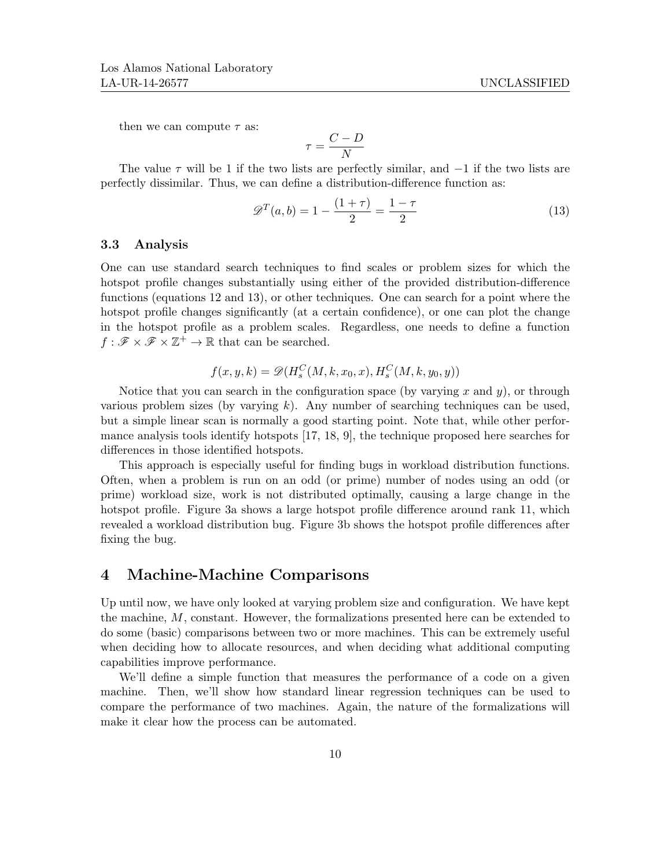then we can compute  $\tau$  as:

$$
\tau = \frac{C - D}{N}
$$

The value  $\tau$  will be 1 if the two lists are perfectly similar, and  $-1$  if the two lists are perfectly dissimilar. Thus, we can define a distribution-difference function as:

$$
\mathcal{D}^{T}(a,b) = 1 - \frac{(1+\tau)}{2} = \frac{1-\tau}{2}
$$
\n(13)

#### 3.3 Analysis

One can use standard search techniques to find scales or problem sizes for which the hotspot profile changes substantially using either of the provided distribution-difference functions (equations 12 and 13), or other techniques. One can search for a point where the hotspot profile changes significantly (at a certain confidence), or one can plot the change in the hotspot profile as a problem scales. Regardless, one needs to define a function  $f : \mathscr{F} \times \mathscr{F} \times \mathbb{Z}^+ \to \mathbb{R}$  that can be searched.

$$
f(x, y, k) = \mathcal{D}(H_s^C(M, k, x_0, x), H_s^C(M, k, y_0, y))
$$

Notice that you can search in the configuration space (by varying  $x$  and  $y$ ), or through various problem sizes (by varying k). Any number of searching techniques can be used, but a simple linear scan is normally a good starting point. Note that, while other performance analysis tools identify hotspots [17, 18, 9], the technique proposed here searches for differences in those identified hotspots.

This approach is especially useful for finding bugs in workload distribution functions. Often, when a problem is run on an odd (or prime) number of nodes using an odd (or prime) workload size, work is not distributed optimally, causing a large change in the hotspot profile. Figure 3a shows a large hotspot profile difference around rank 11, which revealed a workload distribution bug. Figure 3b shows the hotspot profile differences after fixing the bug.

## 4 Machine-Machine Comparisons

Up until now, we have only looked at varying problem size and configuration. We have kept the machine, M, constant. However, the formalizations presented here can be extended to do some (basic) comparisons between two or more machines. This can be extremely useful when deciding how to allocate resources, and when deciding what additional computing capabilities improve performance.

We'll define a simple function that measures the performance of a code on a given machine. Then, we'll show how standard linear regression techniques can be used to compare the performance of two machines. Again, the nature of the formalizations will make it clear how the process can be automated.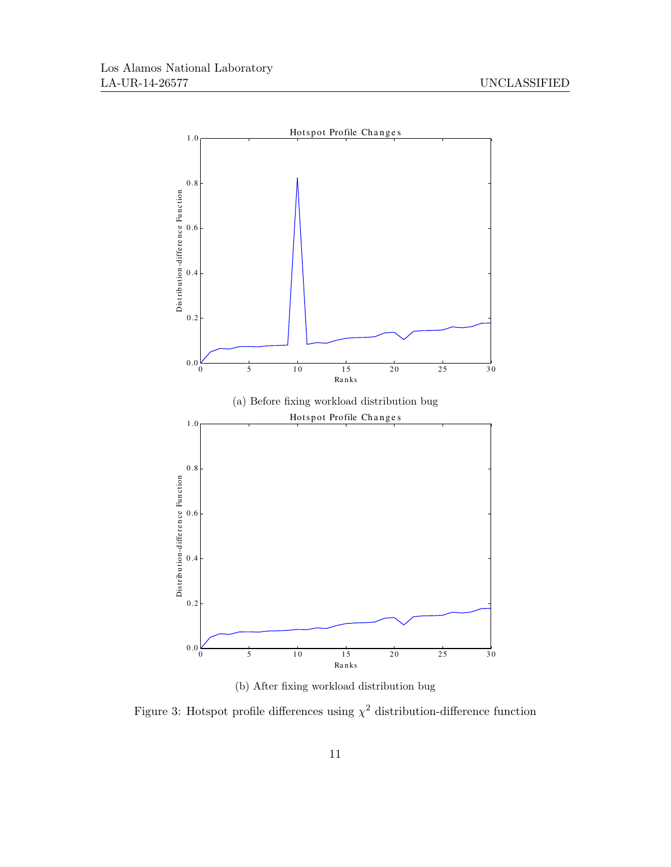

(b) After fixing workload distribution bug

Figure 3: Hotspot profile differences using  $\chi^2$  distribution-difference function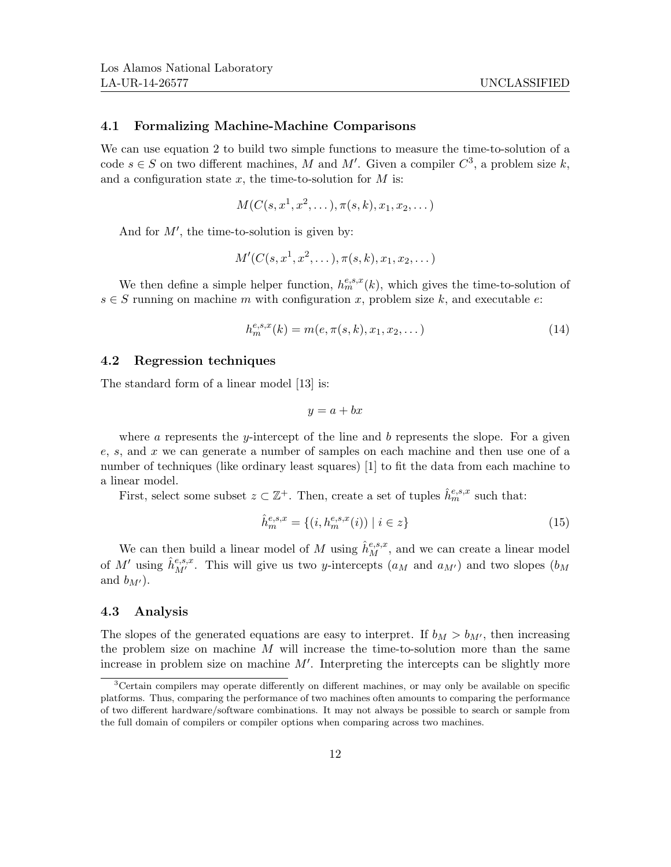### 4.1 Formalizing Machine-Machine Comparisons

We can use equation 2 to build two simple functions to measure the time-to-solution of a code  $s \in S$  on two different machines, M and M'. Given a compiler  $C^3$ , a problem size k, and a configuration state  $x$ , the time-to-solution for  $M$  is:

$$
M(C(s, x^1, x^2, \dots), \pi(s, k), x_1, x_2, \dots)
$$

And for  $M'$ , the time-to-solution is given by:

$$
M'(C(s, x^1, x^2, \ldots), \pi(s, k), x_1, x_2, \ldots)
$$

We then define a simple helper function,  $h_m^{e,s,x}(k)$ , which gives the time-to-solution of  $s \in S$  running on machine m with configuration x, problem size k, and executable e:

$$
h_m^{e,s,x}(k) = m(e, \pi(s, k), x_1, x_2, \dots)
$$
\n(14)

### 4.2 Regression techniques

The standard form of a linear model [13] is:

$$
y = a + bx
$$

where a represents the y-intercept of the line and b represents the slope. For a given e, s, and x we can generate a number of samples on each machine and then use one of a number of techniques (like ordinary least squares) [1] to fit the data from each machine to a linear model.

First, select some subset  $z \subset \mathbb{Z}^+$ . Then, create a set of tuples  $\hat{h}_m^{e,s,x}$  such that:

$$
\hat{h}_m^{e,s,x} = \{(i, h_m^{e,s,x}(i)) \mid i \in z\}
$$
\n(15)

We can then build a linear model of M using  $\hat{h}_M^{e,s,x}$ , and we can create a linear model of M' using  $\hat{h}^{e,s,x}_{M'}$ . This will give us two y-intercepts  $(a_M$  and  $a_{M'})$  and two slopes  $(b_M)$ and  $b_{M'}$ ).

#### 4.3 Analysis

The slopes of the generated equations are easy to interpret. If  $b_M > b_{M'}$ , then increasing the problem size on machine  $M$  will increase the time-to-solution more than the same increase in problem size on machine  $M'$ . Interpreting the intercepts can be slightly more

<sup>&</sup>lt;sup>3</sup>Certain compilers may operate differently on different machines, or may only be available on specific platforms. Thus, comparing the performance of two machines often amounts to comparing the performance of two different hardware/software combinations. It may not always be possible to search or sample from the full domain of compilers or compiler options when comparing across two machines.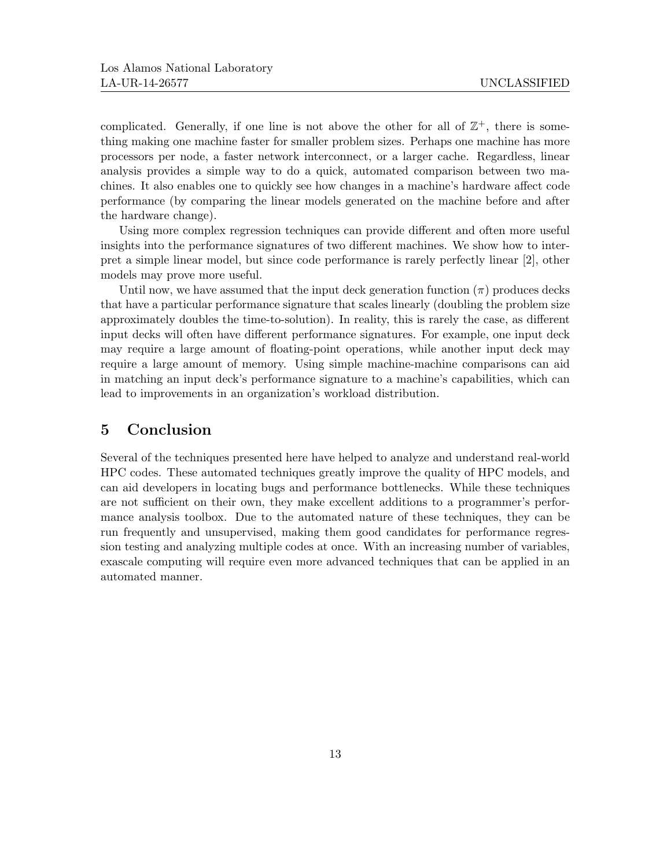complicated. Generally, if one line is not above the other for all of  $\mathbb{Z}^+$ , there is something making one machine faster for smaller problem sizes. Perhaps one machine has more processors per node, a faster network interconnect, or a larger cache. Regardless, linear analysis provides a simple way to do a quick, automated comparison between two machines. It also enables one to quickly see how changes in a machine's hardware affect code performance (by comparing the linear models generated on the machine before and after the hardware change).

Using more complex regression techniques can provide different and often more useful insights into the performance signatures of two different machines. We show how to interpret a simple linear model, but since code performance is rarely perfectly linear [2], other models may prove more useful.

Until now, we have assumed that the input deck generation function  $(\pi)$  produces decks that have a particular performance signature that scales linearly (doubling the problem size approximately doubles the time-to-solution). In reality, this is rarely the case, as different input decks will often have different performance signatures. For example, one input deck may require a large amount of floating-point operations, while another input deck may require a large amount of memory. Using simple machine-machine comparisons can aid in matching an input deck's performance signature to a machine's capabilities, which can lead to improvements in an organization's workload distribution.

# 5 Conclusion

Several of the techniques presented here have helped to analyze and understand real-world HPC codes. These automated techniques greatly improve the quality of HPC models, and can aid developers in locating bugs and performance bottlenecks. While these techniques are not sufficient on their own, they make excellent additions to a programmer's performance analysis toolbox. Due to the automated nature of these techniques, they can be run frequently and unsupervised, making them good candidates for performance regression testing and analyzing multiple codes at once. With an increasing number of variables, exascale computing will require even more advanced techniques that can be applied in an automated manner.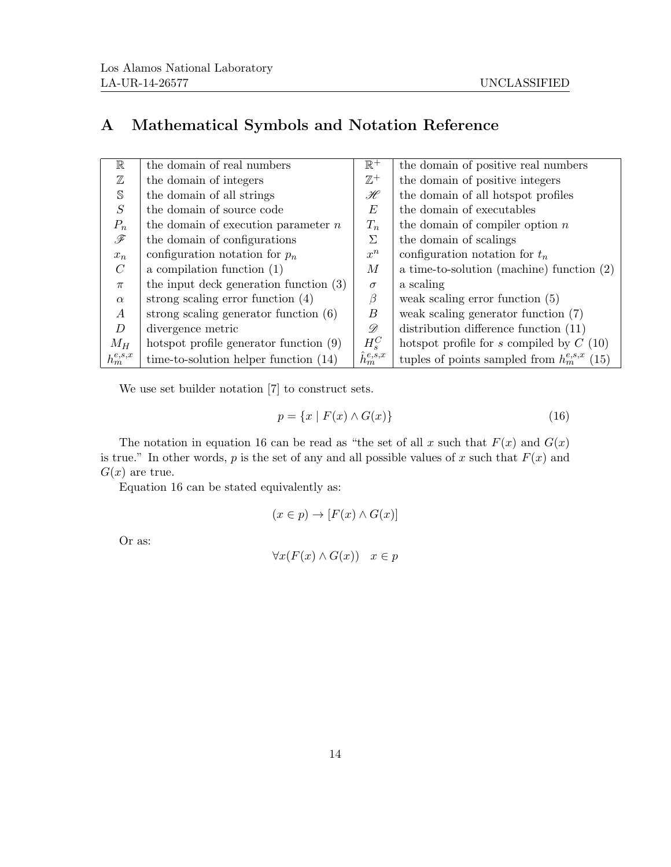# A Mathematical Symbols and Notation Reference

| $\mathbb R$   | the domain of real numbers               | $\mathbb{R}^+$      | the domain of positive real numbers                 |
|---------------|------------------------------------------|---------------------|-----------------------------------------------------|
| $\mathbb Z$   | the domain of integers                   | $\mathbb{Z}^+$      | the domain of positive integers                     |
| $\mathbb S$   | the domain of all strings                | $\mathscr{H}$       | the domain of all hotspot profiles                  |
| S             | the domain of source code                | E                   | the domain of executables                           |
| $P_n$         | the domain of execution parameter $n$    | $T_n$               | the domain of compiler option $n$                   |
| F             | the domain of configurations             | Σ                   | the domain of scalings                              |
| $x_n$         | configuration notation for $p_n$         | $x^n$               | configuration notation for $t_n$                    |
| $\mathcal C$  | a compilation function $(1)$             | М                   | a time-to-solution (machine) function $(2)$         |
| $\pi$         | the input deck generation function $(3)$ | $\sigma$            | a scaling                                           |
| $\alpha$      | strong scaling error function $(4)$      | $\beta$             | weak scaling error function $(5)$                   |
| А             | strong scaling generator function $(6)$  | B                   | weak scaling generator function $(7)$               |
| D             | divergence metric                        | D                   | distribution difference function $(11)$             |
| $M_H$         | hotspot profile generator function $(9)$ | $H_s^C$             | hotspot profile for $s$ compiled by $C(10)$         |
| $h_m^{e,s,x}$ | time-to-solution helper function $(14)$  | $\hat{h}_m^{e,s,x}$ | tuples of points sampled from $h_m^{e,s,x}$<br>(15) |

We use set builder notation [7] to construct sets.

$$
p = \{x \mid F(x) \land G(x)\}\tag{16}
$$

The notation in equation 16 can be read as "the set of all x such that  $F(x)$  and  $G(x)$ is true." In other words, p is the set of any and all possible values of x such that  $F(x)$  and  $G(x)$  are true.

Equation 16 can be stated equivalently as:

$$
(x\in p)\to [F(x)\wedge G(x)]
$$

Or as:

$$
\forall x (F(x) \land G(x)) \quad x \in p
$$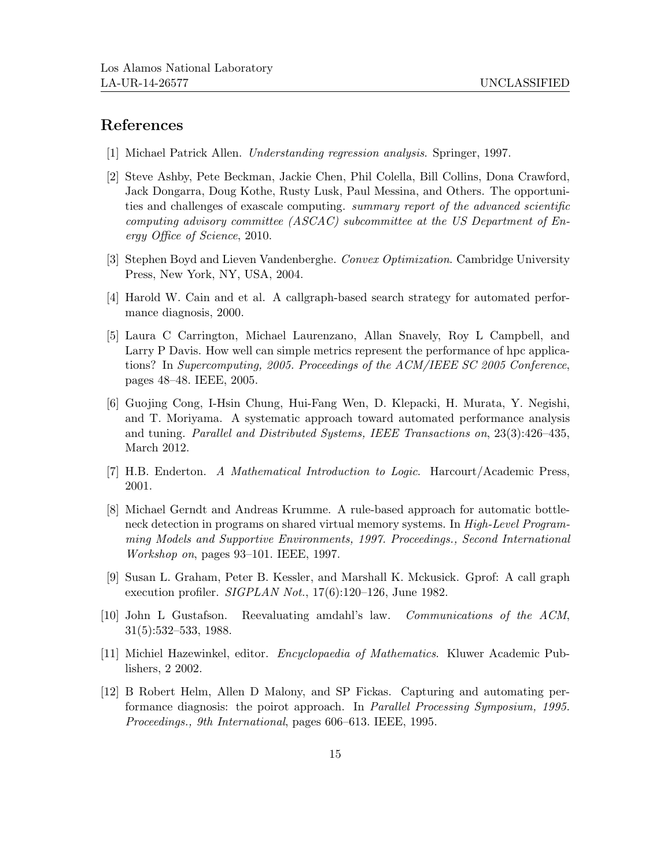# References

- [1] Michael Patrick Allen. Understanding regression analysis. Springer, 1997.
- [2] Steve Ashby, Pete Beckman, Jackie Chen, Phil Colella, Bill Collins, Dona Crawford, Jack Dongarra, Doug Kothe, Rusty Lusk, Paul Messina, and Others. The opportunities and challenges of exascale computing. summary report of the advanced scientific computing advisory committee (ASCAC) subcommittee at the US Department of Energy Office of Science, 2010.
- [3] Stephen Boyd and Lieven Vandenberghe. Convex Optimization. Cambridge University Press, New York, NY, USA, 2004.
- [4] Harold W. Cain and et al. A callgraph-based search strategy for automated performance diagnosis, 2000.
- [5] Laura C Carrington, Michael Laurenzano, Allan Snavely, Roy L Campbell, and Larry P Davis. How well can simple metrics represent the performance of hpc applications? In Supercomputing, 2005. Proceedings of the ACM/IEEE SC 2005 Conference, pages 48–48. IEEE, 2005.
- [6] Guojing Cong, I-Hsin Chung, Hui-Fang Wen, D. Klepacki, H. Murata, Y. Negishi, and T. Moriyama. A systematic approach toward automated performance analysis and tuning. Parallel and Distributed Systems, IEEE Transactions on, 23(3):426–435, March 2012.
- [7] H.B. Enderton. A Mathematical Introduction to Logic. Harcourt/Academic Press, 2001.
- [8] Michael Gerndt and Andreas Krumme. A rule-based approach for automatic bottleneck detection in programs on shared virtual memory systems. In High-Level Programming Models and Supportive Environments, 1997. Proceedings., Second International Workshop on, pages 93–101. IEEE, 1997.
- [9] Susan L. Graham, Peter B. Kessler, and Marshall K. Mckusick. Gprof: A call graph execution profiler. SIGPLAN Not., 17(6):120–126, June 1982.
- [10] John L Gustafson. Reevaluating amdahl's law. Communications of the ACM, 31(5):532–533, 1988.
- [11] Michiel Hazewinkel, editor. Encyclopaedia of Mathematics. Kluwer Academic Publishers, 2 2002.
- [12] B Robert Helm, Allen D Malony, and SP Fickas. Capturing and automating performance diagnosis: the poirot approach. In Parallel Processing Symposium, 1995. Proceedings., 9th International, pages 606–613. IEEE, 1995.